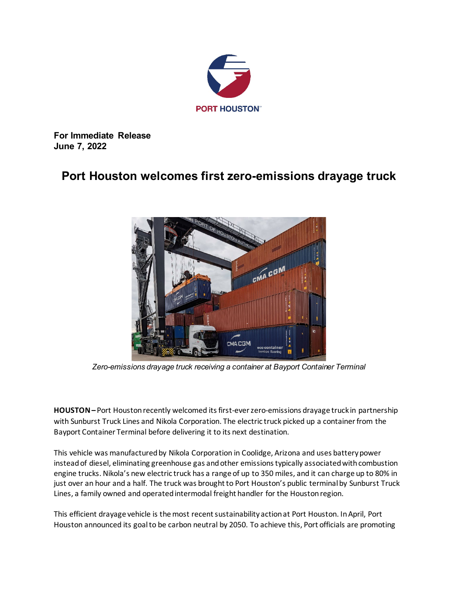

**For Immediate Release June 7, 2022**

## **Port Houston welcomes first zero-emissions drayage truck**



*Zero-emissions drayage truck receiving a container at Bayport Container Terminal*

**HOUSTON –** Port Houston recently welcomed its first-ever zero-emissions drayage truck in partnership with Sunburst Truck Lines and Nikola Corporation. The electric truck picked up a container from the Bayport Container Terminal before delivering it to its next destination.

This vehicle was manufactured by Nikola Corporation in Coolidge, Arizona and uses battery power instead of diesel, eliminating greenhouse gas and other emissions typically associated with combustion engine trucks. Nikola's new electric truck has a range of up to 350 miles, and it can charge up to 80% in just over an hour and a half. The truck was brought to Port Houston's public terminal by Sunburst Truck Lines, a family owned and operated intermodal freight handler for the Houston region.

This efficient drayage vehicle is the most recent sustainability actionat Port Houston. In April, Port Houston announced its goal to be carbon neutral by 2050. To achieve this, Port officials are promoting